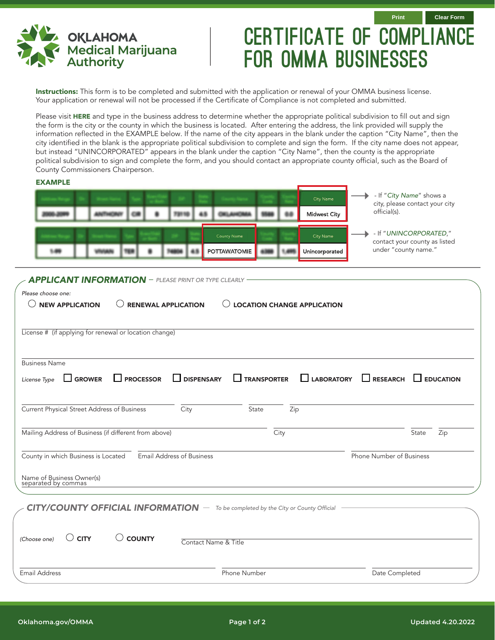

## CERTIFICATE OF COMPLIANCE for OMMA Businesses

Instructions: This form is to be completed and submitted with the application or renewal of your OMMA business license. Your application or renewal will not be processed if the Certificate of Compliance is not completed and submitted.

Please visit [HERE](http://oktax.csa.ou.edu/Rate_Locator/OTCSearchPage.jsf) and type in the business address to determine whether the appropriate political subdivision to fill out and sign the form is the city or the county in which the business is located. After entering the address, the link provided will supply the information reflected in the EXAMPLE below. If the name of the city appears in the blank under the caption "City Name", then the city identified in the blank is the appropriate political subdivision to complete and sign the form. If the city name does not appear, but instead "UNINCORPORATED" appears in the blank under the caption "City Name", then the county is the appropriate political subdivision to sign and complete the form, and you should contact an appropriate county official, such as the Board of County Commissioners Chairperson.

## EXAMPLE - If "*City Name*" shows a City Name city, please contact your city official(s). 48 73110 OILAHO 68 **Midwest City** - If "*UNINCORPORATED*," County Name City Name contact your county as listed under "county name." 48 **POTTAWATOMIE** 4388 1.46 1,495 Unincorporated

## *APPLICANT INFORMATION PLEASE PRINT OR TYPE CLEARLY*

| License # (if applying for renewal or location change)           |                  |                   |                    |      |                                      |                  |
|------------------------------------------------------------------|------------------|-------------------|--------------------|------|--------------------------------------|------------------|
| <b>Business Name</b>                                             |                  |                   |                    |      |                                      |                  |
| $\Box$ GROWER<br>License Type                                    | $\Box$ PROCESSOR | <b>DISPENSARY</b> | <b>TRANSPORTER</b> |      | $\Box$ RESEARCH<br>$\Box$ LABORATORY | $\Box$ EDUCATION |
| Current Physical Street Address of Business                      |                  | City              | State              | Zip  |                                      |                  |
| Mailing Address of Business (if different from above)            |                  |                   |                    | City |                                      | State<br>Zip     |
| Email Address of Business<br>County in which Business is Located |                  |                   |                    |      | Phone Number of Business             |                  |
| Name of Business Owner(s)<br>separated by commas                 |                  |                   |                    |      |                                      |                  |
|                                                                  |                  |                   |                    |      |                                      |                  |

| (Choose one)<br>$\cup$ City<br>$\cup$ county |  | Contact Name & Title |                |  |  |
|----------------------------------------------|--|----------------------|----------------|--|--|
| <b>Email Address</b>                         |  | Phone Number         | Date Completed |  |  |